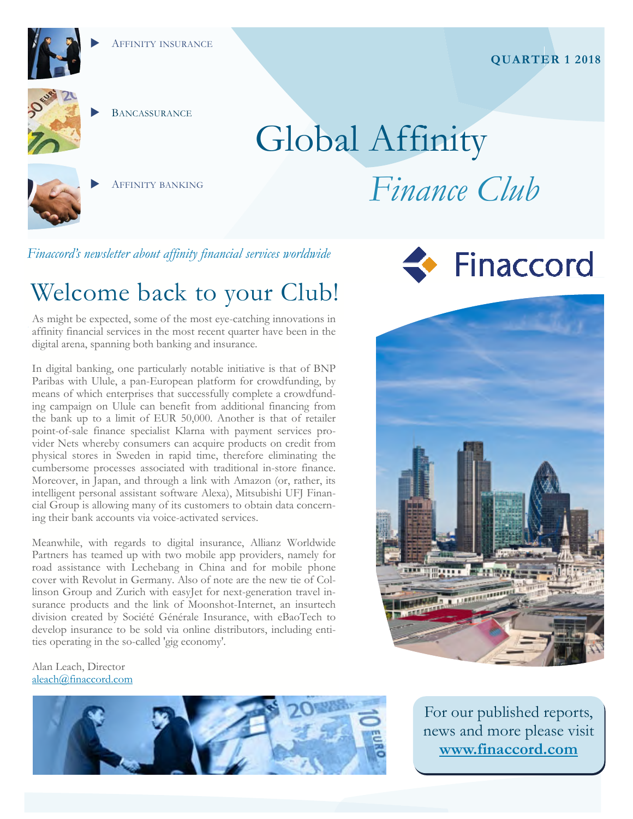

# **BANCASSURANCE**

# Global Affinity



AFFINITY BANKING

*Finance Club* 

*Finaccord's newsletter about affinity financial services worldwide* 

# Welcome back to your Club!

As might be expected, some of the most eye-catching innovations in affinity financial services in the most recent quarter have been in the digital arena, spanning both banking and insurance.

In digital banking, one particularly notable initiative is that of BNP Paribas with Ulule, a pan-European platform for crowdfunding, by means of which enterprises that successfully complete a crowdfunding campaign on Ulule can benefit from additional financing from the bank up to a limit of EUR 50,000. Another is that of retailer point-of-sale finance specialist Klarna with payment services provider Nets whereby consumers can acquire products on credit from physical stores in Sweden in rapid time, therefore eliminating the cumbersome processes associated with traditional in-store finance. Moreover, in Japan, and through a link with Amazon (or, rather, its intelligent personal assistant software Alexa), Mitsubishi UFJ Financial Group is allowing many of its customers to obtain data concerning their bank accounts via voice-activated services.

Meanwhile, with regards to digital insurance, Allianz Worldwide Partners has teamed up with two mobile app providers, namely for road assistance with Lechebang in China and for mobile phone cover with Revolut in Germany. Also of note are the new tie of Collinson Group and Zurich with easyJet for next-generation travel insurance products and the link of Moonshot-Internet, an insurtech division created by Société Générale Insurance, with eBaoTech to develop insurance to be sold via online distributors, including entities operating in the so-called 'gig economy'.

Alan Leach, Director aleach@finaccord.com







For our published reports, news and more please visit **www.finaccord.com**

### **QUARTER 1 2018**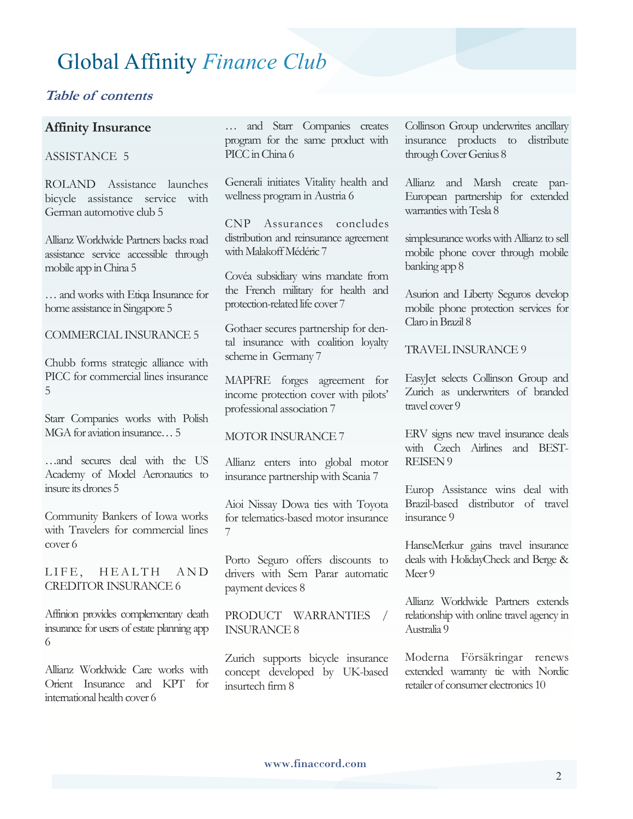#### **Table of contents**

#### **Affinity Insurance**

#### ASSISTANCE 5

ROLAND Assistance launches bicycle assistance service with German automotive club 5

Allianz Worldwide Partners backs road assistance service accessible through mobile app in China 5

… and works with Etiqa Insurance for home assistance in Singapore 5

COMMERCIAL INSURANCE 5

Chubb forms strategic alliance with PICC for commercial lines insurance 5

Starr Companies works with Polish MGA for aviation insurance… 5

…and secures deal with the US Academy of Model Aeronautics to insure its drones 5

Community Bankers of Iowa works with Travelers for commercial lines cover 6

LIFE, HEALTH AND CREDITOR INSURANCE 6

Affinion provides complementary death insurance for users of estate planning app 6

Allianz Worldwide Care works with Orient Insurance and KPT for international health cover 6

… and Starr Companies creates program for the same product with PICC in China 6

Generali initiates Vitality health and wellness program in Austria 6

CNP Assurances concludes distribution and reinsurance agreement with Malakoff Médéric 7

Covéa subsidiary wins mandate from the French military for health and protection-related life cover 7

Gothaer secures partnership for dental insurance with coalition loyalty scheme in Germany 7

MAPFRE forges agreement for income protection cover with pilots' professional association 7

#### MOTOR INSURANCE 7

Allianz enters into global motor insurance partnership with Scania 7

Aioi Nissay Dowa ties with Toyota for telematics-based motor insurance 7

Porto Seguro offers discounts to drivers with Sem Parar automatic payment devices 8

#### PRODUCT WARRANTIES / INSURANCE 8

Zurich supports bicycle insurance concept developed by UK-based insurtech firm 8

Collinson Group underwrites ancillary insurance products to distribute through Cover Genius 8

Allianz and Marsh create pan-European partnership for extended warranties with Tesla 8

simplesurance works with Allianz to sell mobile phone cover through mobile banking app 8

Asurion and Liberty Seguros develop mobile phone protection services for Claro in Brazil 8

TRAVEL INSURANCE 9

EasyJet selects Collinson Group and Zurich as underwriters of branded travel cover 9

ERV signs new travel insurance deals with Czech Airlines and BEST-REISEN 9

Europ Assistance wins deal with Brazil-based distributor of travel insurance 9

HanseMerkur gains travel insurance deals with HolidayCheck and Berge & Meer<sup>9</sup>

Allianz Worldwide Partners extends relationship with online travel agency in Australia 9

Moderna Försäkringar renews extended warranty tie with Nordic retailer of consumer electronics 10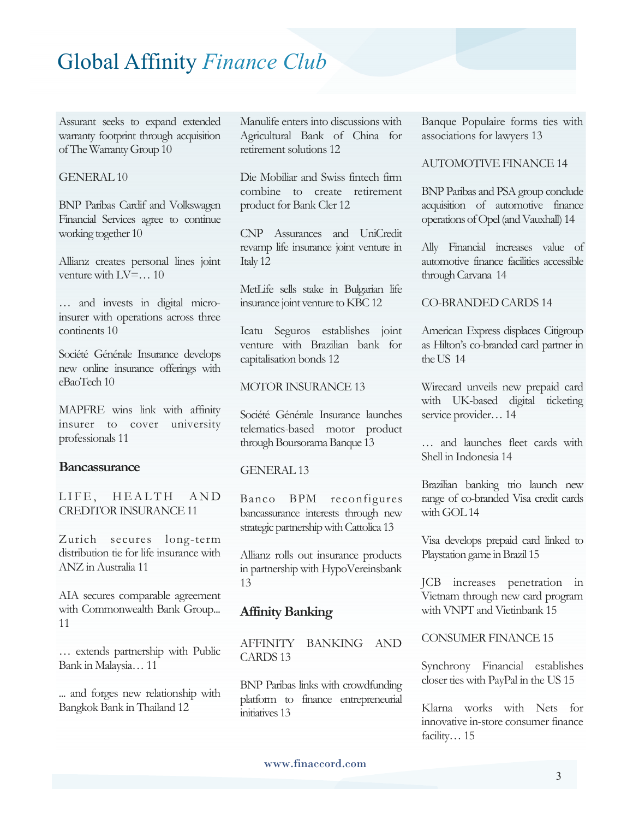Assurant seeks to expand extended warranty footprint through acquisition of The Warranty Group 10

#### GENERAL 10

BNP Paribas Cardif and Volkswagen Financial Services agree to continue working together 10

Allianz creates personal lines joint venture with LV=… 10

… and invests in digital microinsurer with operations across three continents 10

Société Générale Insurance develops new online insurance offerings with eBaoTech 10

MAPFRE wins link with affinity insurer to cover university professionals 11

#### **Bancassurance**

LIFE. HEALTH AND CREDITOR INSURANCE 11

Zurich secures long-term distribution tie for life insurance with ANZ in Australia 11

AIA secures comparable agreement with Commonwealth Bank Group... 11

… extends partnership with Public Bank in Malaysia… 11

... and forges new relationship with Bangkok Bank in Thailand 12

Manulife enters into discussions with Agricultural Bank of China for retirement solutions 12

Die Mobiliar and Swiss fintech firm combine to create retirement product for Bank Cler 12

CNP Assurances and UniCredit revamp life insurance joint venture in Italy 12

MetLife sells stake in Bulgarian life insurance joint venture to KBC 12

Icatu Seguros establishes joint venture with Brazilian bank for capitalisation bonds 12

#### MOTOR INSURANCE 13

Société Générale Insurance launches telematics-based motor product through Boursorama Banque 13

#### GENERAL 13

Banco BPM reconfigures bancassurance interests through new strategic partnership with Cattolica 13

Allianz rolls out insurance products in partnership with HypoVereinsbank 13

#### **Affinity Banking**

AFFINITY BANKING AND CARDS 13

BNP Paribas links with crowdfunding platform to finance entrepreneurial initiatives 13

Banque Populaire forms ties with associations for lawyers 13

#### AUTOMOTIVE FINANCE 14

BNP Paribas and PSA group conclude acquisition of automotive finance operations of Opel (and Vauxhall) 14

Ally Financial increases value of automotive finance facilities accessible through Carvana 14

#### CO-BRANDED CARDS 14

American Express displaces Citigroup as Hilton's co-branded card partner in the US 14

Wirecard unveils new prepaid card with UK-based digital ticketing service provider… 14

… and launches fleet cards with Shell in Indonesia 14

Brazilian banking trio launch new range of co-branded Visa credit cards with GOL 14

Visa develops prepaid card linked to Playstation game in Brazil 15

JCB increases penetration in Vietnam through new card program with VNPT and Vietinbank 15

CONSUMER FINANCE 15

Synchrony Financial establishes closer ties with PayPal in the US 15

Klarna works with Nets for innovative in-store consumer finance facility... 15

#### www.finaccord.com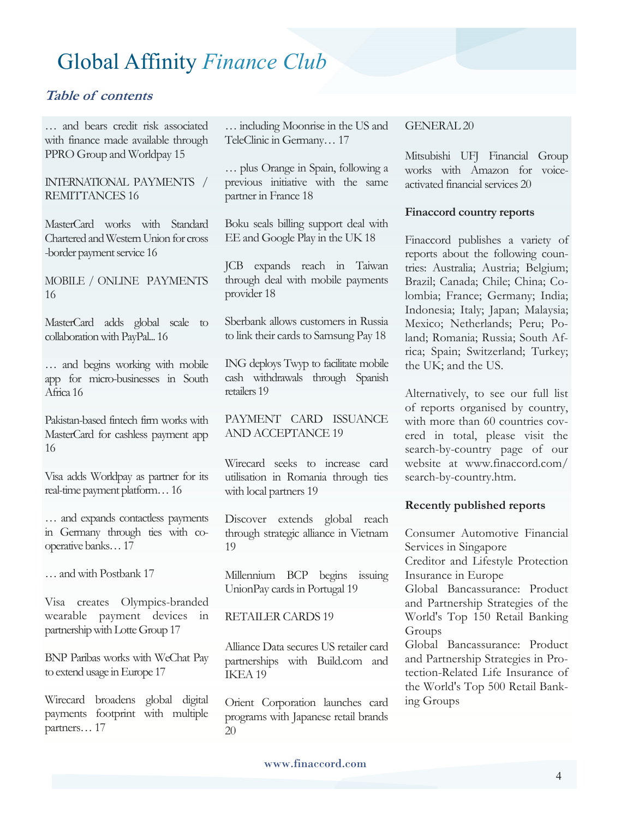#### **Table of contents**

… and bears credit risk associated with finance made available through PPRO Group and Worldpay 15

#### INTERNATIONAL PAYMENTS / REMITTANCES 16

MasterCard works with Standard Chartered and Western Union for cross -border payment service 16

MOBILE / ONLINE PAYMENTS 16

MasterCard adds global scale to collaboration with PayPal... 16

… and begins working with mobile app for micro-businesses in South Africa 16

Pakistan-based fintech firm works with MasterCard for cashless payment app 16

Visa adds Worldpay as partner for its real-time payment platform… 16

… and expands contactless payments in Germany through ties with cooperative banks… 17

… and with Postbank 17

Visa creates Olympics-branded wearable payment devices in partnership with Lotte Group 17

BNP Paribas works with WeChat Pay to extend usage in Europe 17

Wirecard broadens global digital payments footprint with multiple partners… 17

… including Moonrise in the US and TeleClinic in Germany… 17

… plus Orange in Spain, following a previous initiative with the same partner in France 18

Boku seals billing support deal with EE and Google Play in the UK 18

JCB expands reach in Taiwan through deal with mobile payments provider 18

Sberbank allows customers in Russia to link their cards to Samsung Pay 18

ING deploys Twyp to facilitate mobile cash withdrawals through Spanish retailers 19

PAYMENT CARD ISSUANCE AND ACCEPTANCE 19

Wirecard seeks to increase card utilisation in Romania through ties with local partners 19

Discover extends global reach through strategic alliance in Vietnam 19

Millennium BCP begins issuing UnionPay cards in Portugal 19

#### RETAILER CARDS 19

Alliance Data secures US retailer card partnerships with Build.com and IKEA 19

Orient Corporation launches card programs with Japanese retail brands 20

#### GENERAL 20

Mitsubishi UFJ Financial Group works with Amazon for voiceactivated financial services 20

#### **Finaccord country reports**

Finaccord publishes a variety of reports about the following countries: Australia; Austria; Belgium; Brazil; Canada; Chile; China; Colombia; France; Germany; India; Indonesia; Italy; Japan; Malaysia; Mexico; Netherlands; Peru; Poland; Romania; Russia; South Africa; Spain; Switzerland; Turkey; the UK; and the US.

Alternatively, to see our full list of reports organised by country, with more than 60 countries covered in total, please visit the search-by-country page of our website at www.finaccord.com/ search-by-country.htm.

#### **Recently published reports**

Consumer Automotive Financial Services in Singapore

Creditor and Lifestyle Protection Insurance in Europe

Global Bancassurance: Product and Partnership Strategies of the World's Top 150 Retail Banking Groups

Global Bancassurance: Product and Partnership Strategies in Protection-Related Life Insurance of the World's Top 500 Retail Banking Groups

www.finaccord.com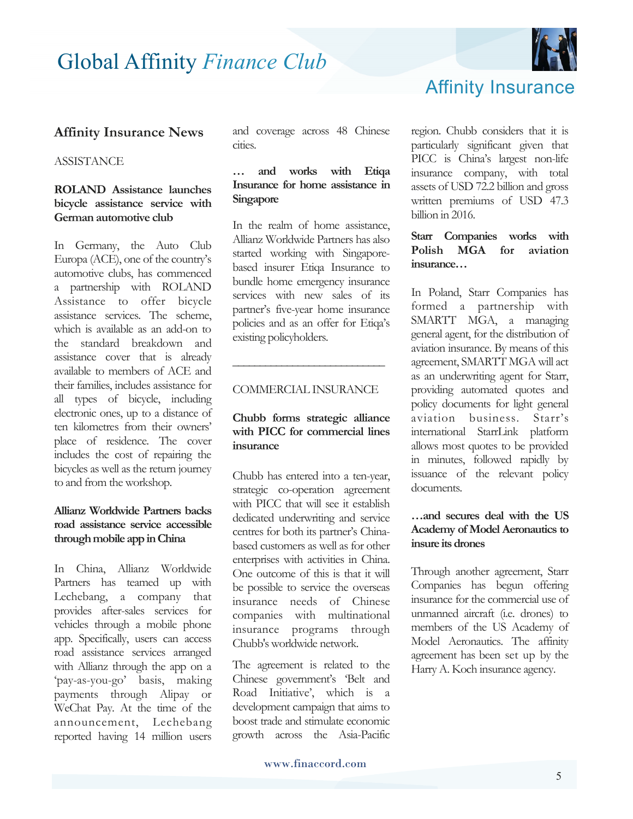

## Affinity Insurance

#### **Affinity Insurance News**

#### **ASSISTANCE**

#### **ROLAND Assistance launches bicycle assistance service with German automotive club**

In Germany, the Auto Club Europa (ACE), one of the country's automotive clubs, has commenced a partnership with ROLAND Assistance to offer bicycle assistance services. The scheme, which is available as an add-on to the standard breakdown and assistance cover that is already available to members of ACE and their families, includes assistance for all types of bicycle, including electronic ones, up to a distance of ten kilometres from their owners' place of residence. The cover includes the cost of repairing the bicycles as well as the return journey to and from the workshop.

#### **Allianz Worldwide Partners backs road assistance service accessible through mobile app in China**

In China, Allianz Worldwide Partners has teamed up with Lechebang, a company that provides after-sales services for vehicles through a mobile phone app. Specifically, users can access road assistance services arranged with Allianz through the app on a 'pay-as-you-go' basis, making payments through Alipay or WeChat Pay. At the time of the announcement, Lechebang reported having 14 million users

and coverage across 48 Chinese cities.

#### **… and works with Etiqa Insurance for home assistance in Singapore**

In the realm of home assistance, Allianz Worldwide Partners has also started working with Singaporebased insurer Etiqa Insurance to bundle home emergency insurance services with new sales of its partner's five-year home insurance policies and as an offer for Etiqa's existing policyholders.

#### COMMERCIAL INSURANCE

**\_\_\_\_\_\_\_\_\_\_\_\_\_\_\_\_\_\_\_\_\_\_\_\_\_\_\_\_**

#### **Chubb forms strategic alliance with PICC for commercial lines insurance**

Chubb has entered into a ten-year, strategic co-operation agreement with PICC that will see it establish dedicated underwriting and service centres for both its partner's Chinabased customers as well as for other enterprises with activities in China. One outcome of this is that it will be possible to service the overseas insurance needs of Chinese companies with multinational insurance programs through Chubb's worldwide network.

The agreement is related to the Chinese government's 'Belt and Road Initiative', which is a development campaign that aims to boost trade and stimulate economic growth across the Asia-Pacific

region. Chubb considers that it is particularly significant given that PICC is China's largest non-life insurance company, with total assets of USD 72.2 billion and gross written premiums of USD 47.3 billion in 2016.

#### **Starr Companies works with Polish MGA for aviation insurance…**

In Poland, Starr Companies has formed a partnership with SMARTT MGA, a managing general agent, for the distribution of aviation insurance. By means of this agreement, SMARTT MGA will act as an underwriting agent for Starr, providing automated quotes and policy documents for light general aviation business. Starr's international StarrLink platform allows most quotes to be provided in minutes, followed rapidly by issuance of the relevant policy documents.

#### **…and secures deal with the US Academy of Model Aeronautics to insure its drones**

Through another agreement, Starr Companies has begun offering insurance for the commercial use of unmanned aircraft (i.e. drones) to members of the US Academy of Model Aeronautics. The affinity agreement has been set up by the Harry A. Koch insurance agency.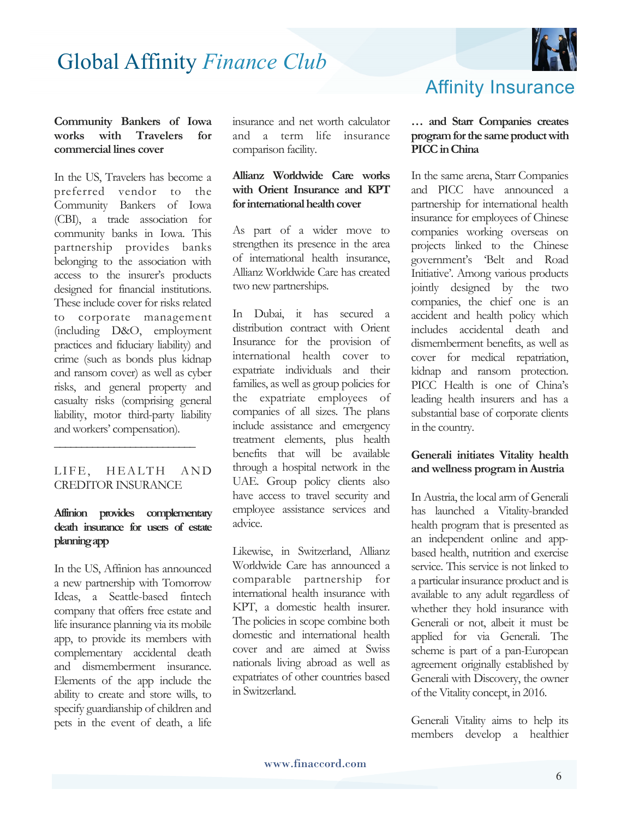

#### **Community Bankers of Iowa works with Travelers for commercial lines cover**

In the US, Travelers has become a preferred vendor to the Community Bankers of Iowa (CBI), a trade association for community banks in Iowa. This partnership provides banks belonging to the association with access to the insurer's products designed for financial institutions. These include cover for risks related to corporate management (including D&O, employment practices and fiduciary liability) and crime (such as bonds plus kidnap and ransom cover) as well as cyber risks, and general property and casualty risks (comprising general liability, motor third-party liability and workers' compensation).

#### LIFE, HEALTH AND CREDITOR INSURANCE

**\_\_\_\_\_\_\_\_\_\_\_\_\_\_\_\_\_\_\_\_\_\_\_\_\_\_** 

#### **Affinion provides complementary death insurance for users of estate planning app**

In the US, Affinion has announced a new partnership with Tomorrow Ideas, a Seattle-based fintech company that offers free estate and life insurance planning via its mobile app, to provide its members with complementary accidental death and dismemberment insurance. Elements of the app include the ability to create and store wills, to specify guardianship of children and pets in the event of death, a life insurance and net worth calculator and a term life insurance comparison facility.

#### **Allianz Worldwide Care works with Orient Insurance and KPT for international health cover**

As part of a wider move to strengthen its presence in the area of international health insurance, Allianz Worldwide Care has created two new partnerships.

In Dubai, it has secured a distribution contract with Orient Insurance for the provision of international health cover to expatriate individuals and their families, as well as group policies for the expatriate employees of companies of all sizes. The plans include assistance and emergency treatment elements, plus health benefits that will be available through a hospital network in the UAE. Group policy clients also have access to travel security and employee assistance services and advice.

Likewise, in Switzerland, Allianz Worldwide Care has announced a comparable partnership for international health insurance with KPT, a domestic health insurer. The policies in scope combine both domestic and international health cover and are aimed at Swiss nationals living abroad as well as expatriates of other countries based in Switzerland.

## Affinity Insurance

#### **… and Starr Companies creates program for the same product with PICC in China**

In the same arena, Starr Companies and PICC have announced a partnership for international health insurance for employees of Chinese companies working overseas on projects linked to the Chinese government's 'Belt and Road Initiative'. Among various products jointly designed by the two companies, the chief one is an accident and health policy which includes accidental death and dismemberment benefits, as well as cover for medical repatriation, kidnap and ransom protection. PICC Health is one of China's leading health insurers and has a substantial base of corporate clients in the country.

#### **Generali initiates Vitality health and wellness program in Austria**

In Austria, the local arm of Generali has launched a Vitality-branded health program that is presented as an independent online and appbased health, nutrition and exercise service. This service is not linked to a particular insurance product and is available to any adult regardless of whether they hold insurance with Generali or not, albeit it must be applied for via Generali. The scheme is part of a pan-European agreement originally established by Generali with Discovery, the owner of the Vitality concept, in 2016.

Generali Vitality aims to help its members develop a healthier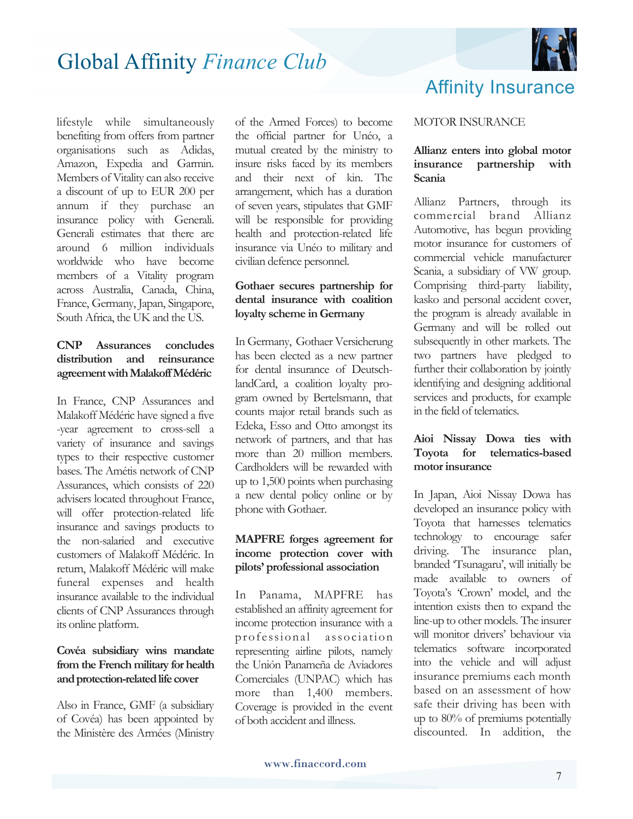

lifestyle while simultaneously benefiting from offers from partner organisations such as Adidas, Amazon, Expedia and Garmin. Members of Vitality can also receive a discount of up to EUR 200 per annum if they purchase an insurance policy with Generali. Generali estimates that there are around 6 million individuals worldwide who have become members of a Vitality program across Australia, Canada, China, France, Germany, Japan, Singapore, South Africa, the UK and the US.

#### **CNP Assurances concludes distribution and reinsurance agreement with Malakoff Médéric**

In France, CNP Assurances and Malakoff Médéric have signed a five -year agreement to cross-sell a variety of insurance and savings types to their respective customer bases. The Amétis network of CNP Assurances, which consists of 220 advisers located throughout France, will offer protection-related life insurance and savings products to the non-salaried and executive customers of Malakoff Médéric. In return, Malakoff Médéric will make funeral expenses and health insurance available to the individual clients of CNP Assurances through its online platform.

#### **Covéa subsidiary wins mandate from the French military for health and protection-related life cover**

Also in France, GMF (a subsidiary of Covéa) has been appointed by the Ministère des Armées (Ministry of the Armed Forces) to become the official partner for Unéo, a mutual created by the ministry to insure risks faced by its members and their next of kin. The arrangement, which has a duration of seven years, stipulates that GMF will be responsible for providing health and protection-related life insurance via Unéo to military and civilian defence personnel.

#### **Gothaer secures partnership for dental insurance with coalition loyalty scheme in Germany**

In Germany, Gothaer Versicherung has been elected as a new partner for dental insurance of DeutschlandCard, a coalition loyalty program owned by Bertelsmann, that counts major retail brands such as Edeka, Esso and Otto amongst its network of partners, and that has more than 20 million members. Cardholders will be rewarded with up to 1,500 points when purchasing a new dental policy online or by phone with Gothaer.

#### **MAPFRE forges agreement for income protection cover with pilots' professional association**

In Panama, MAPFRE has established an affinity agreement for income protection insurance with a professional assoc iation representing airline pilots, namely the Unión Panameña de Aviadores Comerciales (UNPAC) which has more than 1,400 members. Coverage is provided in the event of both accident and illness.

## Affinity Insurance

#### MOTOR INSURANCE

#### **Allianz enters into global motor insurance partnership with Scania**

Allianz Partners, through its commercial brand Allianz Automotive, has begun providing motor insurance for customers of commercial vehicle manufacturer Scania, a subsidiary of VW group. Comprising third-party liability, kasko and personal accident cover, the program is already available in Germany and will be rolled out subsequently in other markets. The two partners have pledged to further their collaboration by jointly identifying and designing additional services and products, for example in the field of telematics.

#### **Aioi Nissay Dowa ties with Toyota for telematics-based motor insurance**

In Japan, Aioi Nissay Dowa has developed an insurance policy with Toyota that harnesses telematics technology to encourage safer driving. The insurance plan, branded 'Tsunagaru', will initially be made available to owners of Toyota's 'Crown' model, and the intention exists then to expand the line-up to other models. The insurer will monitor drivers' behaviour via telematics software incorporated into the vehicle and will adjust insurance premiums each month based on an assessment of how safe their driving has been with up to 80% of premiums potentially discounted. In addition, the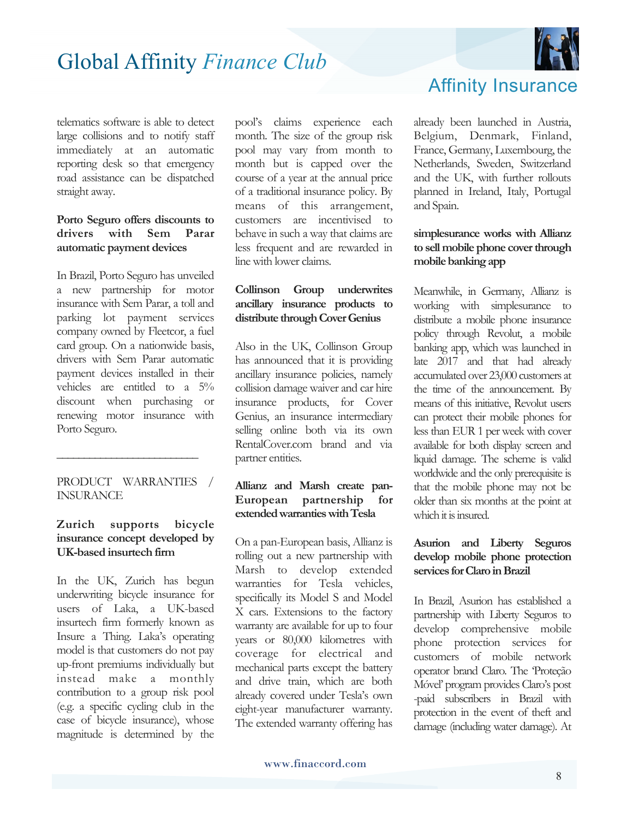

telematics software is able to detect large collisions and to notify staff immediately at an automatic reporting desk so that emergency road assistance can be dispatched straight away.

#### **Porto Seguro offers discounts to drivers with Sem Parar automatic payment devices**

In Brazil, Porto Seguro has unveiled a new partnership for motor insurance with Sem Parar, a toll and parking lot payment services company owned by Fleetcor, a fuel card group. On a nationwide basis, drivers with Sem Parar automatic payment devices installed in their vehicles are entitled to a 5% discount when purchasing or renewing motor insurance with Porto Seguro.

PRODUCT WARRANTIES / INSURANCE

**\_\_\_\_\_\_\_\_\_\_\_\_\_\_\_\_\_\_\_\_\_\_\_\_\_\_** 

#### **Zurich supports bicycle insurance concept developed by UK-based insurtech firm**

In the UK, Zurich has begun underwriting bicycle insurance for users of Laka, a UK-based insurtech firm formerly known as Insure a Thing. Laka's operating model is that customers do not pay up-front premiums individually but instead make a monthly contribution to a group risk pool (e.g. a specific cycling club in the case of bicycle insurance), whose magnitude is determined by the

pool's claims experience each month. The size of the group risk pool may vary from month to month but is capped over the course of a year at the annual price of a traditional insurance policy. By means of this arrangement, customers are incentivised to behave in such a way that claims are less frequent and are rewarded in line with lower claims.

#### **Collinson Group underwrites ancillary insurance products to distribute through Cover Genius**

Also in the UK, Collinson Group has announced that it is providing ancillary insurance policies, namely collision damage waiver and car hire insurance products, for Cover Genius, an insurance intermediary selling online both via its own RentalCover.com brand and via partner entities.

#### **Allianz and Marsh create pan-European partnership for extended warranties with Tesla**

On a pan-European basis, Allianz is rolling out a new partnership with Marsh to develop extended warranties for Tesla vehicles, specifically its Model S and Model X cars. Extensions to the factory warranty are available for up to four years or 80,000 kilometres with coverage for electrical and mechanical parts except the battery and drive train, which are both already covered under Tesla's own eight-year manufacturer warranty. The extended warranty offering has

Affinity Insurance

already been launched in Austria, Belgium, Denmark, Finland, France, Germany, Luxembourg, the Netherlands, Sweden, Switzerland and the UK, with further rollouts planned in Ireland, Italy, Portugal and Spain.

#### **simplesurance works with Allianz to sell mobile phone cover through mobile banking app**

Meanwhile, in Germany, Allianz is working with simplesurance to distribute a mobile phone insurance policy through Revolut, a mobile banking app, which was launched in late 2017 and that had already accumulated over 23,000 customers at the time of the announcement. By means of this initiative, Revolut users can protect their mobile phones for less than EUR 1 per week with cover available for both display screen and liquid damage. The scheme is valid worldwide and the only prerequisite is that the mobile phone may not be older than six months at the point at which it is insured.

#### **Asurion and Liberty Seguros develop mobile phone protection services for Claro in Brazil**

In Brazil, Asurion has established a partnership with Liberty Seguros to develop comprehensive mobile phone protection services for customers of mobile network operator brand Claro. The 'Proteção Móvel' program provides Claro's post -paid subscribers in Brazil with protection in the event of theft and damage (including water damage). At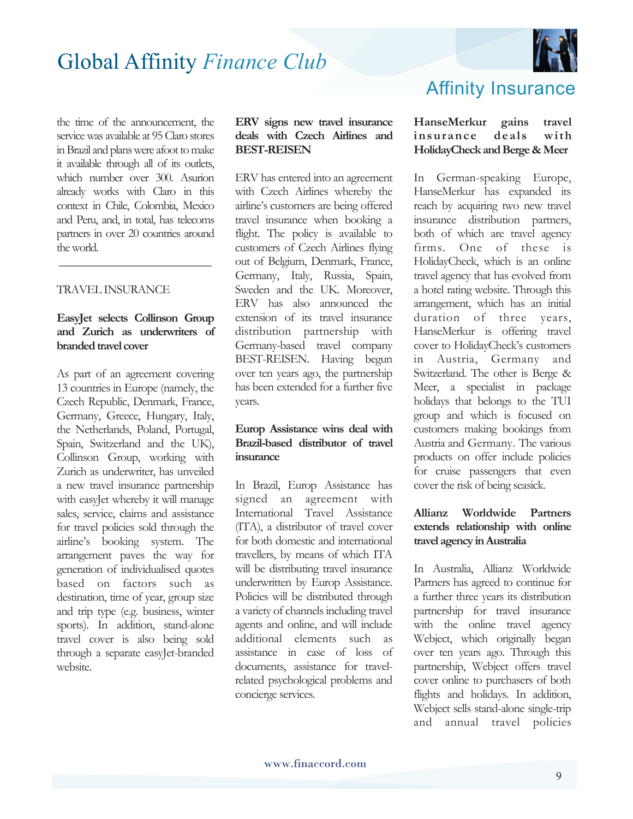

the time of the announcement, the service was available at 95 Claro stores in Brazil and plans were afoot to make it available through all of its outlets, which number over 300. Asurion already works with Claro in this context in Chile, Colombia, Mexico and Peru, and, in total, has telecoms partners in over 20 countries around the world.

#### TRAVEL INSURANCE

#### **EasyJet selects Collinson Group and Zurich as underwriters of branded travel cover**

 **\_\_\_\_\_\_\_\_\_\_\_\_\_\_\_\_\_\_\_\_\_\_\_\_\_\_\_\_**

As part of an agreement covering 13 countries in Europe (namely, the Czech Republic, Denmark, France, Germany, Greece, Hungary, Italy, the Netherlands, Poland, Portugal, Spain, Switzerland and the UK), Collinson Group, working with Zurich as underwriter, has unveiled a new travel insurance partnership with easyJet whereby it will manage sales, service, claims and assistance for travel policies sold through the airline's booking system. The arrangement paves the way for generation of individualised quotes based on factors such as destination, time of year, group size and trip type (e.g. business, winter sports). In addition, stand-alone travel cover is also being sold through a separate easyJet-branded website.

#### **ERV signs new travel insurance deals with Czech Airlines and BEST-REISEN**

ERV has entered into an agreement with Czech Airlines whereby the airline's customers are being offered travel insurance when booking a flight. The policy is available to customers of Czech Airlines flying out of Belgium, Denmark, France, Germany, Italy, Russia, Spain, Sweden and the UK. Moreover, ERV has also announced the extension of its travel insurance distribution partnership with Germany-based travel company BEST-REISEN. Having begun over ten years ago, the partnership has been extended for a further five years.

#### **Europ Assistance wins deal with Brazil-based distributor of travel insurance**

In Brazil, Europ Assistance has signed an agreement with International Travel Assistance (ITA), a distributor of travel cover for both domestic and international travellers, by means of which ITA will be distributing travel insurance underwritten by Europ Assistance. Policies will be distributed through a variety of channels including travel agents and online, and will include additional elements such as assistance in case of loss of documents, assistance for travelrelated psychological problems and concierge services.

## Affinity Insurance

#### **HanseMerkur gains travel insurance deals with HolidayCheck and Berge & Meer**

In German-speaking Europe, HanseMerkur has expanded its reach by acquiring two new travel insurance distribution partners, both of which are travel agency firms. One of these is HolidayCheck, which is an online travel agency that has evolved from a hotel rating website. Through this arrangement, which has an initial duration of three years, HanseMerkur is offering travel cover to HolidayCheck's customers in Austria, Germany and Switzerland. The other is Berge & Meer, a specialist in package holidays that belongs to the TUI group and which is focused on customers making bookings from Austria and Germany. The various products on offer include policies for cruise passengers that even cover the risk of being seasick.

#### **Allianz Worldwide Partners extends relationship with online travel agency in Australia**

In Australia, Allianz Worldwide Partners has agreed to continue for a further three years its distribution partnership for travel insurance with the online travel agency Webject, which originally began over ten years ago. Through this partnership, Webject offers travel cover online to purchasers of both flights and holidays. In addition, Webject sells stand-alone single-trip and annual travel policies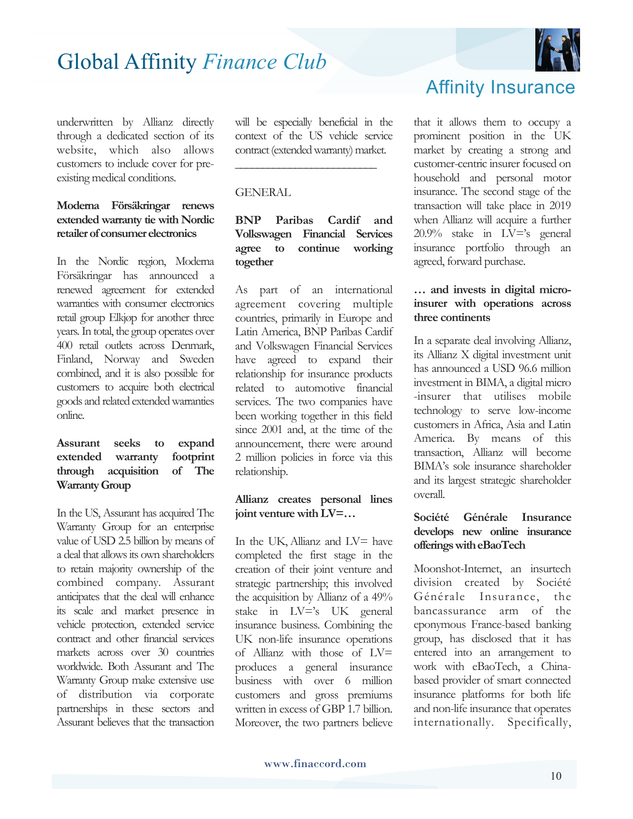

#### **Moderna Försäkringar renews extended warranty tie with Nordic retailer of consumer electronics**

In the Nordic region, Moderna Försäkringar has announced a renewed agreement for extended warranties with consumer electronics retail group Elkjøp for another three years. In total, the group operates over 400 retail outlets across Denmark, Finland, Norway and Sweden combined, and it is also possible for customers to acquire both electrical goods and related extended warranties online.

#### **Assurant seeks to expand extended warranty footprint through acquisition of The Warranty Group**

In the US, Assurant has acquired The Warranty Group for an enterprise value of USD 2.5 billion by means of a deal that allows its own shareholders to retain majority ownership of the combined company. Assurant anticipates that the deal will enhance its scale and market presence in vehicle protection, extended service contract and other financial services markets across over 30 countries worldwide. Both Assurant and The Warranty Group make extensive use of distribution via corporate partnerships in these sectors and Assurant believes that the transaction

will be especially beneficial in the context of the US vehicle service contract (extended warranty) market.

**\_\_\_\_\_\_\_\_\_\_\_\_\_\_\_\_\_\_\_\_\_\_\_\_\_\_** 

#### GENERAL

#### **BNP Paribas Cardif and Volkswagen Financial Services agree to continue working together**

As part of an international agreement covering multiple countries, primarily in Europe and Latin America, BNP Paribas Cardif and Volkswagen Financial Services have agreed to expand their relationship for insurance products related to automotive financial services. The two companies have been working together in this field since 2001 and, at the time of the announcement, there were around 2 million policies in force via this relationship.

#### **Allianz creates personal lines joint venture with LV=…**

In the UK, Allianz and LV= have completed the first stage in the creation of their joint venture and strategic partnership; this involved the acquisition by Allianz of a 49% stake in LV='s UK general insurance business. Combining the UK non-life insurance operations of Allianz with those of LV= produces a general insurance business with over 6 million customers and gross premiums written in excess of GBP 1.7 billion. Moreover, the two partners believe



that it allows them to occupy a prominent position in the UK market by creating a strong and customer-centric insurer focused on household and personal motor insurance. The second stage of the transaction will take place in 2019 when Allianz will acquire a further 20.9% stake in LV='s general insurance portfolio through an agreed, forward purchase.

#### **… and invests in digital microinsurer with operations across three continents**

In a separate deal involving Allianz, its Allianz X digital investment unit has announced a USD 96.6 million investment in BIMA, a digital micro -insurer that utilises mobile technology to serve low-income customers in Africa, Asia and Latin America. By means of this transaction, Allianz will become BIMA's sole insurance shareholder and its largest strategic shareholder overall.

#### **Société Générale Insurance develops new online insurance offerings with eBaoTech**

Moonshot-Internet, an insurtech division created by Société Générale Insurance, the bancassurance arm of the eponymous France-based banking group, has disclosed that it has entered into an arrangement to work with eBaoTech, a Chinabased provider of smart connected insurance platforms for both life and non-life insurance that operates internationally. Specifically,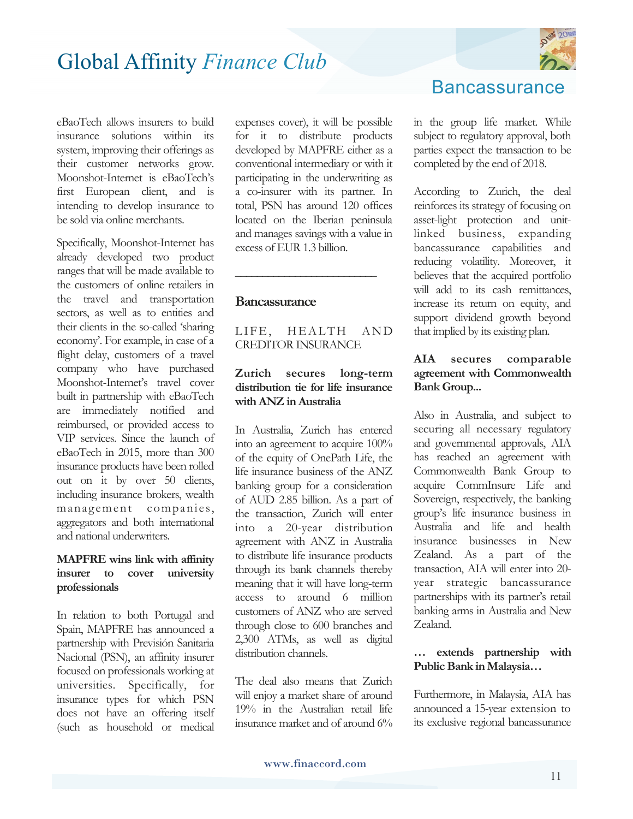

eBaoTech allows insurers to build insurance solutions within its system, improving their offerings as their customer networks grow. Moonshot-Internet is eBaoTech's first European client, and is intending to develop insurance to be sold via online merchants.

Specifically, Moonshot-Internet has already developed two product ranges that will be made available to the customers of online retailers in the travel and transportation sectors, as well as to entities and their clients in the so-called 'sharing economy'. For example, in case of a flight delay, customers of a travel company who have purchased Moonshot-Internet's travel cover built in partnership with eBaoTech are immediately notified and reimbursed, or provided access to VIP services. Since the launch of eBaoTech in 2015, more than 300 insurance products have been rolled out on it by over 50 clients, including insurance brokers, wealth management companies, aggregators and both international and national underwriters.

#### **MAPFRE wins link with affinity insurer to cover university professionals**

In relation to both Portugal and Spain, MAPFRE has announced a partnership with Previsión Sanitaria Nacional (PSN), an affinity insurer focused on professionals working at universities. Specifically, for insurance types for which PSN does not have an offering itself (such as household or medical

expenses cover), it will be possible for it to distribute products developed by MAPFRE either as a conventional intermediary or with it participating in the underwriting as a co-insurer with its partner. In total, PSN has around 120 offices located on the Iberian peninsula and manages savings with a value in excess of EUR 1.3 billion.

#### **Bancassurance**

LIFE, HEALTH AND CREDITOR INSURANCE

**\_\_\_\_\_\_\_\_\_\_\_\_\_\_\_\_\_\_\_\_\_\_\_\_\_\_**

#### **Zurich secures long-term distribution tie for life insurance with ANZ in Australia**

In Australia, Zurich has entered into an agreement to acquire 100% of the equity of OnePath Life, the life insurance business of the ANZ banking group for a consideration of AUD 2.85 billion. As a part of the transaction, Zurich will enter into a 20-year distribution agreement with ANZ in Australia to distribute life insurance products through its bank channels thereby meaning that it will have long-term access to around 6 million customers of ANZ who are served through close to 600 branches and 2,300 ATMs, as well as digital distribution channels.

The deal also means that Zurich will enjoy a market share of around 19% in the Australian retail life insurance market and of around 6% **Bancassurance** 

in the group life market. While subject to regulatory approval, both parties expect the transaction to be completed by the end of 2018.

According to Zurich, the deal reinforces its strategy of focusing on asset-light protection and unitlinked business, expanding bancassurance capabilities and reducing volatility. Moreover, it believes that the acquired portfolio will add to its cash remittances, increase its return on equity, and support dividend growth beyond that implied by its existing plan.

#### **AIA secures comparable agreement with Commonwealth Bank Group...**

Also in Australia, and subject to securing all necessary regulatory and governmental approvals, AIA has reached an agreement with Commonwealth Bank Group to acquire CommInsure Life and Sovereign, respectively, the banking group's life insurance business in Australia and life and health insurance businesses in New Zealand. As a part of the transaction, AIA will enter into 20 year strategic bancassurance partnerships with its partner's retail banking arms in Australia and New Zealand.

#### **… extends partnership with Public Bank in Malaysia…**

Furthermore, in Malaysia, AIA has announced a 15-year extension to its exclusive regional bancassurance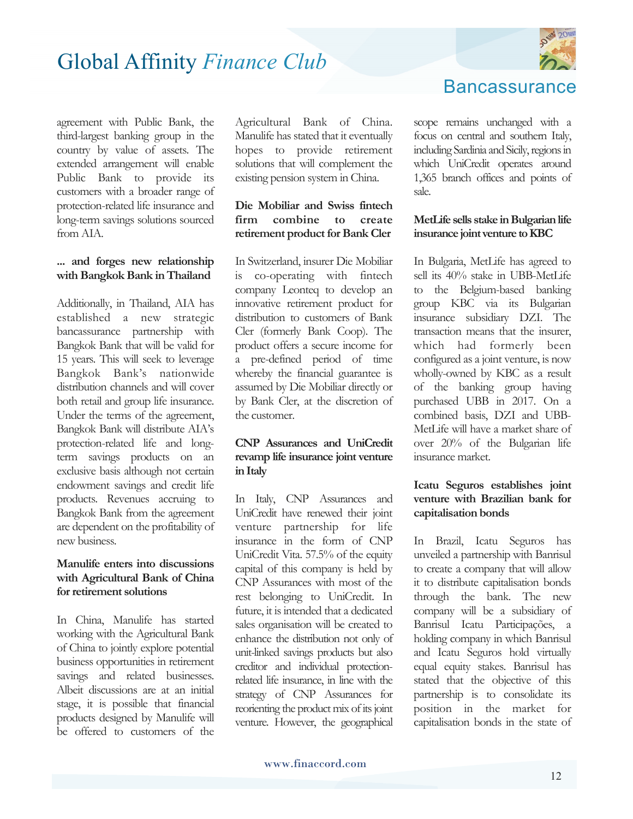

agreement with Public Bank, the third-largest banking group in the country by value of assets. The extended arrangement will enable Public Bank to provide its customers with a broader range of protection-related life insurance and long-term savings solutions sourced from AIA.

#### **... and forges new relationship with Bangkok Bank in Thailand**

Additionally, in Thailand, AIA has established a new strategic bancassurance partnership with Bangkok Bank that will be valid for 15 years. This will seek to leverage Bangkok Bank's nationwide distribution channels and will cover both retail and group life insurance. Under the terms of the agreement, Bangkok Bank will distribute AIA's protection-related life and longterm savings products on an exclusive basis although not certain endowment savings and credit life products. Revenues accruing to Bangkok Bank from the agreement are dependent on the profitability of new business.

#### **Manulife enters into discussions with Agricultural Bank of China for retirement solutions**

In China, Manulife has started working with the Agricultural Bank of China to jointly explore potential business opportunities in retirement savings and related businesses. Albeit discussions are at an initial stage, it is possible that financial products designed by Manulife will be offered to customers of the

Agricultural Bank of China. Manulife has stated that it eventually hopes to provide retirement solutions that will complement the existing pension system in China.

#### **Die Mobiliar and Swiss fintech firm combine to create retirement product for Bank Cler**

In Switzerland, insurer Die Mobiliar is co-operating with fintech company Leonteq to develop an innovative retirement product for distribution to customers of Bank Cler (formerly Bank Coop). The product offers a secure income for a pre-defined period of time whereby the financial guarantee is assumed by Die Mobiliar directly or by Bank Cler, at the discretion of the customer.

#### **CNP Assurances and UniCredit revamp life insurance joint venture in Italy**

In Italy, CNP Assurances and UniCredit have renewed their joint venture partnership for life insurance in the form of CNP UniCredit Vita. 57.5% of the equity capital of this company is held by CNP Assurances with most of the rest belonging to UniCredit. In future, it is intended that a dedicated sales organisation will be created to enhance the distribution not only of unit-linked savings products but also creditor and individual protectionrelated life insurance, in line with the strategy of CNP Assurances for reorienting the product mix of its joint venture. However, the geographical **Bancassurance** 

scope remains unchanged with a focus on central and southern Italy, including Sardinia and Sicily, regions in which UniCredit operates around 1,365 branch offices and points of sale.

#### **MetLife sells stake in Bulgarian life insurance joint venture to KBC**

In Bulgaria, MetLife has agreed to sell its 40% stake in UBB-MetLife to the Belgium-based banking group KBC via its Bulgarian insurance subsidiary DZI. The transaction means that the insurer, which had formerly been configured as a joint venture, is now wholly-owned by KBC as a result of the banking group having purchased UBB in 2017. On a combined basis, DZI and UBB-MetLife will have a market share of over 20% of the Bulgarian life insurance market.

#### **Icatu Seguros establishes joint venture with Brazilian bank for capitalisation bonds**

In Brazil, Icatu Seguros has unveiled a partnership with Banrisul to create a company that will allow it to distribute capitalisation bonds through the bank. The new company will be a subsidiary of Banrisul Icatu Participações, a holding company in which Banrisul and Icatu Seguros hold virtually equal equity stakes. Banrisul has stated that the objective of this partnership is to consolidate its position in the market for capitalisation bonds in the state of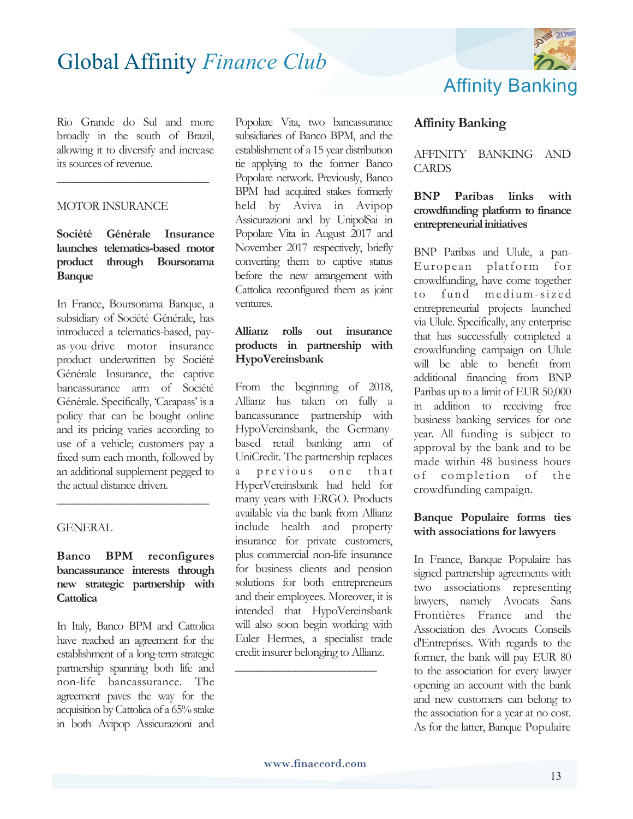Rio Grande do Sul and more broadly in the south of Brazil, allowing it to diversify and increase its sources of revenue.

**\_\_\_\_\_\_\_\_\_\_\_\_\_\_\_\_\_\_\_\_\_\_\_\_\_\_\_\_**

#### MOTOR INSURANCE

#### **Société Générale Insurance launches telematics-based motor product through Boursorama Banque**

In France, Boursorama Banque, a subsidiary of Société Générale, has introduced a telematics-based, payas-you-drive motor insurance product underwritten by Société Générale Insurance, the captive bancassurance arm of Société Générale. Specifically, 'Carapass' is a policy that can be bought online and its pricing varies according to use of a vehicle; customers pay a fixed sum each month, followed by an additional supplement pegged to the actual distance driven.

#### GENERAL

#### **Banco BPM reconfigures bancassurance interests through new strategic partnership with Cattolica**

**\_\_\_\_\_\_\_\_\_\_\_\_\_\_\_\_\_\_\_\_\_\_\_\_\_\_\_\_**

In Italy, Banco BPM and Cattolica have reached an agreement for the establishment of a long-term strategic partnership spanning both life and non-life bancassurance. The agreement paves the way for the acquisition by Cattolica of a 65% stake in both Avipop Assicurazioni and

Popolare Vita, two bancassurance subsidiaries of Banco BPM, and the establishment of a 15-year distribution tie applying to the former Banco Popolare network. Previously, Banco BPM had acquired stakes formerly held by Aviva in Avipop Assicurazioni and by UnipolSai in Popolare Vita in August 2017 and November 2017 respectively, briefly converting them to captive status before the new arrangement with Cattolica reconfigured them as joint ventures.

#### **Allianz rolls out insurance products in partnership with HypoVereinsbank**

From the beginning of 2018, Allianz has taken on fully a bancassurance partnership with HypoVereinsbank, the Germanybased retail banking arm of UniCredit. The partnership replaces previous one that HyperVereinsbank had held for many years with ERGO. Products available via the bank from Allianz include health and property insurance for private customers, plus commercial non-life insurance for business clients and pension solutions for both entrepreneurs and their employees. Moreover, it is intended that HypoVereinsbank will also soon begin working with Euler Hermes, a specialist trade credit insurer belonging to Allianz.



#### **Affinity Banking**

AFFINITY BANKING AND CARDS

#### **BNP Paribas links with crowdfunding platform to finance entrepreneurial initiatives**

BNP Paribas and Ulule, a pan-E uropean platform for crowdfunding, have come together to fund medium-sized entrepreneurial projects launched via Ulule. Specifically, any enterprise that has successfully completed a crowdfunding campaign on Ulule will be able to benefit from additional financing from BNP Paribas up to a limit of EUR 50,000 in addition to receiving free business banking services for one year. All funding is subject to approval by the bank and to be made within 48 business hours of completion of the crowdfunding campaign.

#### **Banque Populaire forms ties with associations for lawyers**

In France, Banque Populaire has signed partnership agreements with two associations representing lawyers, namely Avocats Sans Frontières France and the Association des Avocats Conseils d'Entreprises. With regards to the former, the bank will pay EUR 80 to the association for every lawyer opening an account with the bank and new customers can belong to the association for a year at no cost. As for the latter, Banque Populaire

**\_\_\_\_\_\_\_\_\_\_\_\_\_\_\_\_\_\_\_\_\_\_\_\_\_\_**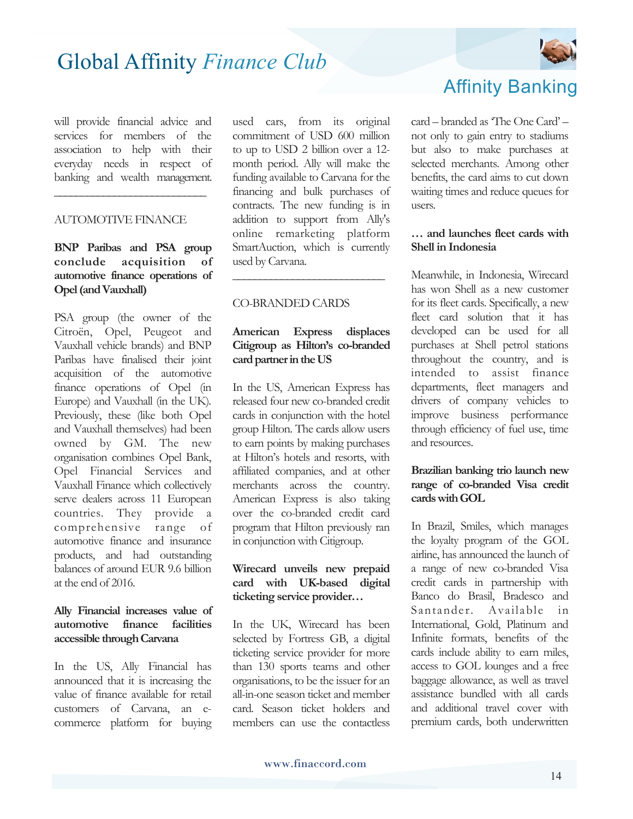will provide financial advice and services for members of the association to help with their everyday needs in respect of banking and wealth management.

**\_\_\_\_\_\_\_\_\_\_\_\_\_\_\_\_\_\_\_\_\_\_\_\_\_\_\_\_**

#### AUTOMOTIVE FINANCE

**BNP Paribas and PSA group conclude acquisition of automotive finance operations of Opel (and Vauxhall)** 

PSA group (the owner of the Citroën, Opel, Peugeot and Vauxhall vehicle brands) and BNP Paribas have finalised their joint acquisition of the automotive finance operations of Opel (in Europe) and Vauxhall (in the UK)*.* Previously, these (like both Opel and Vauxhall themselves) had been owned by GM. The new organisation combines Opel Bank, Opel Financial Services and Vauxhall Finance which collectively serve dealers across 11 European countries. They provide a comprehensive range of automotive finance and insurance products, and had outstanding balances of around EUR 9.6 billion at the end of 2016.

#### **Ally Financial increases value of automotive finance facilities accessible through Carvana**

In the US, Ally Financial has announced that it is increasing the value of finance available for retail customers of Carvana, an ecommerce platform for buying used cars, from its original commitment of USD 600 million to up to USD 2 billion over a 12 month period. Ally will make the funding available to Carvana for the financing and bulk purchases of contracts. The new funding is in addition to support from Ally's online remarketing platform SmartAuction, which is currently used by Carvana.

#### CO-BRANDED CARDS

#### **American Express displaces Citigroup as Hilton's co-branded card partner in the US**

**\_\_\_\_\_\_\_\_\_\_\_\_\_\_\_\_\_\_\_\_\_\_\_\_\_\_\_\_**

In the US, American Express has released four new co-branded credit cards in conjunction with the hotel group Hilton. The cards allow users to earn points by making purchases at Hilton's hotels and resorts, with affiliated companies, and at other merchants across the country. American Express is also taking over the co-branded credit card program that Hilton previously ran in conjunction with Citigroup.

#### **Wirecard unveils new prepaid card with UK-based digital ticketing service provider…**

In the UK, Wirecard has been selected by Fortress GB, a digital ticketing service provider for more than 130 sports teams and other organisations, to be the issuer for an all-in-one season ticket and member card. Season ticket holders and members can use the contactless



## Affinity Banking

card – branded as 'The One Card' – not only to gain entry to stadiums but also to make purchases at selected merchants. Among other benefits, the card aims to cut down waiting times and reduce queues for users.

#### **… and launches fleet cards with Shell in Indonesia**

Meanwhile, in Indonesia, Wirecard has won Shell as a new customer for its fleet cards. Specifically, a new fleet card solution that it has developed can be used for all purchases at Shell petrol stations throughout the country, and is intended to assist finance departments, fleet managers and drivers of company vehicles to improve business performance through efficiency of fuel use, time and resources.

#### **Brazilian banking trio launch new range of co-branded Visa credit cards with GOL**

In Brazil, Smiles, which manages the loyalty program of the GOL airline, has announced the launch of a range of new co-branded Visa credit cards in partnership with Banco do Brasil, Bradesco and Santander. Available in International, Gold, Platinum and Infinite formats, benefits of the cards include ability to earn miles, access to GOL lounges and a free baggage allowance, as well as travel assistance bundled with all cards and additional travel cover with premium cards, both underwritten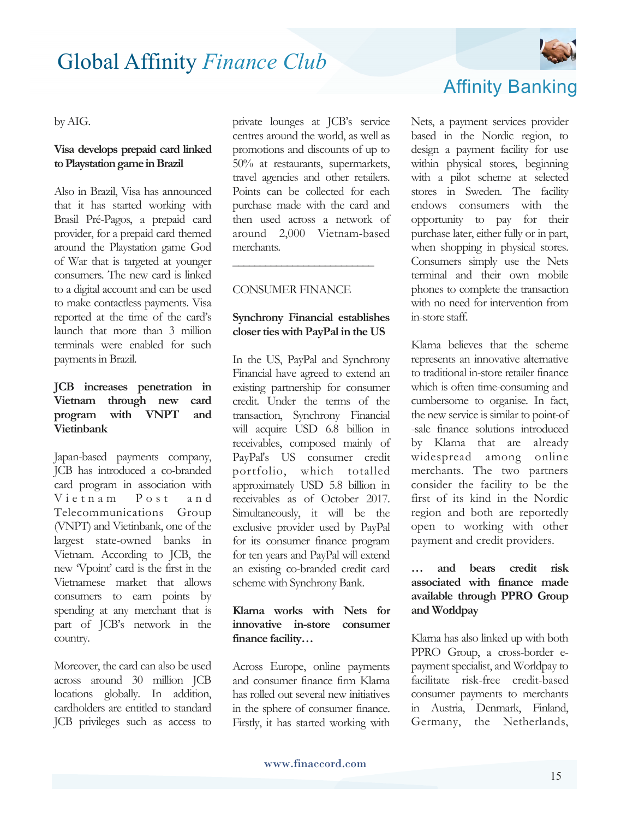

#### by AIG.

#### **Visa develops prepaid card linked to Playstation game in Brazil**

Also in Brazil, Visa has announced that it has started working with Brasil Pré-Pagos, a prepaid card provider, for a prepaid card themed around the Playstation game God of War that is targeted at younger consumers. The new card is linked to a digital account and can be used to make contactless payments. Visa reported at the time of the card's launch that more than 3 million terminals were enabled for such payments in Brazil.

#### **JCB increases penetration in Vietnam through new card program with VNPT and Vietinbank**

Japan-based payments company, JCB has introduced a co-branded card program in association with Vietnam Post and Telecommunications Group (VNPT) and Vietinbank, one of the largest state-owned banks in Vietnam. According to JCB, the new 'Vpoint' card is the first in the Vietnamese market that allows consumers to earn points by spending at any merchant that is part of JCB's network in the country.

Moreover, the card can also be used across around 30 million JCB locations globally. In addition, cardholders are entitled to standard JCB privileges such as access to

private lounges at JCB's service centres around the world, as well as promotions and discounts of up to 50% at restaurants, supermarkets, travel agencies and other retailers. Points can be collected for each purchase made with the card and then used across a network of around 2,000 Vietnam-based merchants.

#### CONSUMER FINANCE

**\_\_\_\_\_\_\_\_\_\_\_\_\_\_\_\_\_\_\_\_\_\_\_\_\_\_**

#### **Synchrony Financial establishes closer ties with PayPal in the US**

In the US, PayPal and Synchrony Financial have agreed to extend an existing partnership for consumer credit. Under the terms of the transaction, Synchrony Financial will acquire USD 6.8 billion in receivables, composed mainly of PayPal's US consumer credit portfolio, which totalled approximately USD 5.8 billion in receivables as of October 2017. Simultaneously, it will be the exclusive provider used by PayPal for its consumer finance program for ten years and PayPal will extend an existing co-branded credit card scheme with Synchrony Bank.

#### **Klarna works with Nets for innovative in-store consumer finance facility…**

Across Europe, online payments and consumer finance firm Klarna has rolled out several new initiatives in the sphere of consumer finance. Firstly, it has started working with

## Affinity Banking

Nets, a payment services provider based in the Nordic region, to design a payment facility for use within physical stores, beginning with a pilot scheme at selected stores in Sweden. The facility endows consumers with the opportunity to pay for their purchase later, either fully or in part, when shopping in physical stores. Consumers simply use the Nets terminal and their own mobile phones to complete the transaction with no need for intervention from in-store staff.

Klarna believes that the scheme represents an innovative alternative to traditional in-store retailer finance which is often time-consuming and cumbersome to organise. In fact, the new service is similar to point-of -sale finance solutions introduced by Klarna that are already widespread among online merchants. The two partners consider the facility to be the first of its kind in the Nordic region and both are reportedly open to working with other payment and credit providers.

#### **… and bears credit risk associated with finance made available through PPRO Group and Worldpay**

Klarna has also linked up with both PPRO Group, a cross-border epayment specialist, and Worldpay to facilitate risk-free credit-based consumer payments to merchants in Austria, Denmark, Finland, Germany, the Netherlands,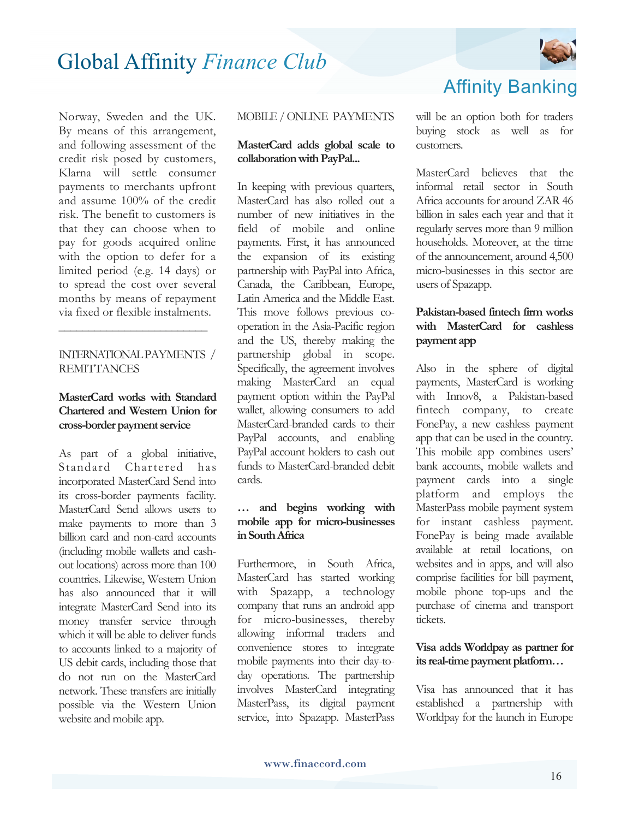

Norway, Sweden and the UK. By means of this arrangement, and following assessment of the credit risk posed by customers, Klarna will settle consumer payments to merchants upfront and assume 100% of the credit risk. The benefit to customers is that they can choose when to pay for goods acquired online with the option to defer for a limited period (e.g. 14 days) or to spread the cost over several months by means of repayment via fixed or flexible instalments.

#### INTERNATIONALPAYMENTS / **REMITTANCES**

**\_\_\_\_\_\_\_\_\_\_\_\_\_\_\_\_\_\_\_\_\_\_\_\_\_** 

#### **MasterCard works with Standard Chartered and Western Union for cross-border payment service**

As part of a global initiative, Standard Chartered has incorporated MasterCard Send into its cross-border payments facility. MasterCard Send allows users to make payments to more than 3 billion card and non-card accounts (including mobile wallets and cashout locations) across more than 100 countries. Likewise, Western Union has also announced that it will integrate MasterCard Send into its money transfer service through which it will be able to deliver funds to accounts linked to a majority of US debit cards, including those that do not run on the MasterCard network. These transfers are initially possible via the Western Union website and mobile app.

#### MOBILE / ONLINE PAYMENTS

#### **MasterCard adds global scale to collaboration with PayPal...**

In keeping with previous quarters, MasterCard has also rolled out a number of new initiatives in the field of mobile and online payments. First, it has announced the expansion of its existing partnership with PayPal into Africa, Canada, the Caribbean, Europe, Latin America and the Middle East. This move follows previous cooperation in the Asia-Pacific region and the US, thereby making the partnership global in scope. Specifically, the agreement involves making MasterCard an equal payment option within the PayPal wallet, allowing consumers to add MasterCard-branded cards to their PayPal accounts, and enabling PayPal account holders to cash out funds to MasterCard-branded debit cards.

#### **… and begins working with mobile app for micro-businesses in South Africa**

Furthermore, in South Africa, MasterCard has started working with Spazapp, a technology company that runs an android app for micro-businesses, thereby allowing informal traders and convenience stores to integrate mobile payments into their day-today operations. The partnership involves MasterCard integrating MasterPass, its digital payment service, into Spazapp. MasterPass will be an option both for traders buying stock as well as for customers.

Affinity Banking

MasterCard believes that the informal retail sector in South Africa accounts for around ZAR 46 billion in sales each year and that it regularly serves more than 9 million households. Moreover, at the time of the announcement, around 4,500 micro-businesses in this sector are users of Spazapp.

#### **Pakistan-based fintech firm works with MasterCard for cashless payment app**

Also in the sphere of digital payments, MasterCard is working with Innov8, a Pakistan-based fintech company, to create FonePay, a new cashless payment app that can be used in the country. This mobile app combines users' bank accounts, mobile wallets and payment cards into a single platform and employs the MasterPass mobile payment system for instant cashless payment. FonePay is being made available available at retail locations, on websites and in apps, and will also comprise facilities for bill payment, mobile phone top-ups and the purchase of cinema and transport tickets.

#### **Visa adds Worldpay as partner for its real-time payment platform…**

Visa has announced that it has established a partnership with Worldpay for the launch in Europe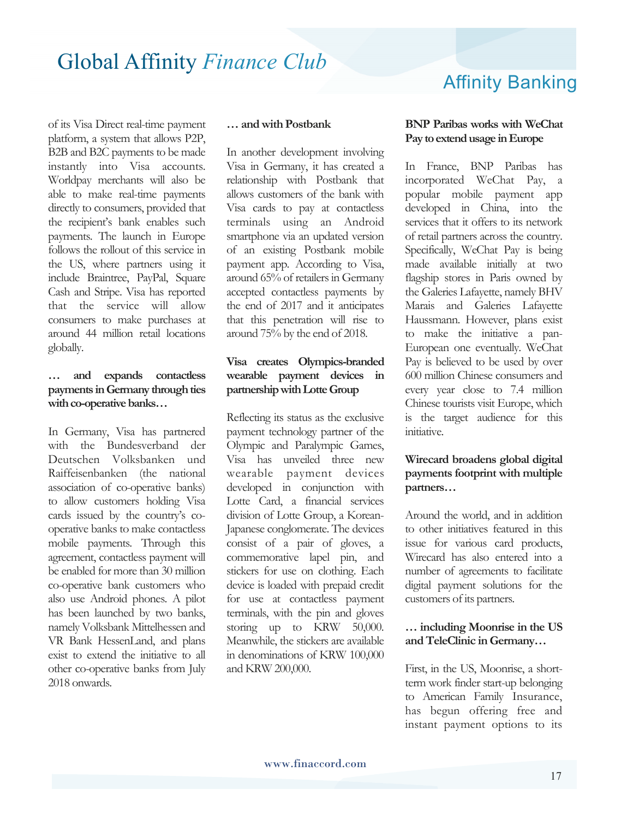Affinity Banking

of its Visa Direct real-time payment platform, a system that allows P2P, B2B and B2C payments to be made instantly into Visa accounts. Worldpay merchants will also be able to make real-time payments directly to consumers, provided that the recipient's bank enables such payments. The launch in Europe follows the rollout of this service in the US, where partners using it include Braintree, PayPal, Square Cash and Stripe. Visa has reported that the service will allow consumers to make purchases at around 44 million retail locations globally.

#### **… and expands contactless payments in Germany through ties with co-operative banks…**

In Germany, Visa has partnered with the Bundesverband der Deutschen Volksbanken und Raiffeisenbanken (the national association of co-operative banks) to allow customers holding Visa cards issued by the country's cooperative banks to make contactless mobile payments. Through this agreement, contactless payment will be enabled for more than 30 million co-operative bank customers who also use Android phones. A pilot has been launched by two banks, namely Volksbank Mittelhessen and VR Bank HessenLand, and plans exist to extend the initiative to all other co-operative banks from July 2018 onwards.

#### **… and with Postbank**

In another development involving Visa in Germany, it has created a relationship with Postbank that allows customers of the bank with Visa cards to pay at contactless terminals using an Android smartphone via an updated version of an existing Postbank mobile payment app. According to Visa, around 65% of retailers in Germany accepted contactless payments by the end of 2017 and it anticipates that this penetration will rise to around 75% by the end of 2018.

#### **Visa creates Olympics-branded wearable payment devices in partnership with Lotte Group**

Reflecting its status as the exclusive payment technology partner of the Olympic and Paralympic Games, Visa has unveiled three new wearable payment devices developed in conjunction with Lotte Card, a financial services division of Lotte Group, a Korean-Japanese conglomerate. The devices consist of a pair of gloves, a commemorative lapel pin, and stickers for use on clothing. Each device is loaded with prepaid credit for use at contactless payment terminals, with the pin and gloves storing up to KRW 50,000. Meanwhile, the stickers are available in denominations of KRW 100,000 and KRW 200,000.

#### **BNP Paribas works with WeChat Pay to extend usage in Europe**

In France, BNP Paribas has incorporated WeChat Pay, a popular mobile payment app developed in China, into the services that it offers to its network of retail partners across the country. Specifically, WeChat Pay is being made available initially at two flagship stores in Paris owned by the Galeries Lafayette, namely BHV Marais and Galeries Lafayette Haussmann. However, plans exist to make the initiative a pan-European one eventually. WeChat Pay is believed to be used by over 600 million Chinese consumers and every year close to 7.4 million Chinese tourists visit Europe, which is the target audience for this initiative.

#### **Wirecard broadens global digital payments footprint with multiple partners…**

Around the world, and in addition to other initiatives featured in this issue for various card products, Wirecard has also entered into a number of agreements to facilitate digital payment solutions for the customers of its partners.

#### **… including Moonrise in the US and TeleClinic in Germany…**

First, in the US, Moonrise, a shortterm work finder start-up belonging to American Family Insurance, has begun offering free and instant payment options to its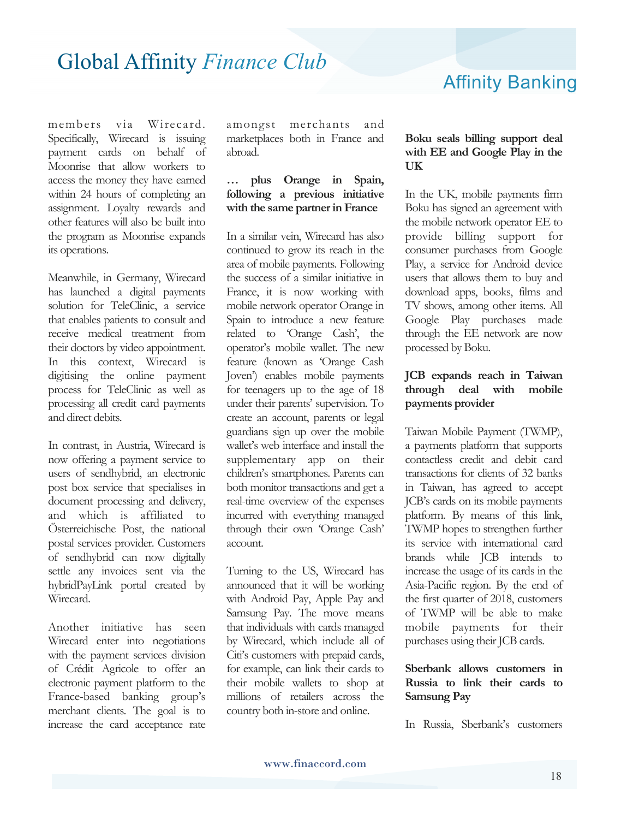## Affinity Banking

members via Wirecard. Specifically, Wirecard is issuing payment cards on behalf of Moonrise that allow workers to access the money they have earned within 24 hours of completing an assignment. Loyalty rewards and other features will also be built into the program as Moonrise expands its operations.

Meanwhile, in Germany, Wirecard has launched a digital payments solution for TeleClinic, a service that enables patients to consult and receive medical treatment from their doctors by video appointment. In this context, Wirecard is digitising the online payment process for TeleClinic as well as processing all credit card payments and direct debits.

In contrast, in Austria, Wirecard is now offering a payment service to users of sendhybrid, an electronic post box service that specialises in document processing and delivery, and which is affiliated to Österreichische Post, the national postal services provider. Customers of sendhybrid can now digitally settle any invoices sent via the hybridPayLink portal created by Wirecard.

Another initiative has seen Wirecard enter into negotiations with the payment services division of Crédit Agricole to offer an electronic payment platform to the France-based banking group's merchant clients. The goal is to increase the card acceptance rate

amongst merchants and marketplaces both in France and abroad.

#### **… plus Orange in Spain, following a previous initiative with the same partner in France**

In a similar vein, Wirecard has also continued to grow its reach in the area of mobile payments. Following the success of a similar initiative in France, it is now working with mobile network operator Orange in Spain to introduce a new feature related to 'Orange Cash', the operator's mobile wallet. The new feature (known as 'Orange Cash Joven') enables mobile payments for teenagers up to the age of 18 under their parents' supervision. To create an account, parents or legal guardians sign up over the mobile wallet's web interface and install the supplementary app on their children's smartphones. Parents can both monitor transactions and get a real-time overview of the expenses incurred with everything managed through their own 'Orange Cash' account.

Turning to the US, Wirecard has announced that it will be working with Android Pay, Apple Pay and Samsung Pay. The move means that individuals with cards managed by Wirecard, which include all of Citi's customers with prepaid cards, for example, can link their cards to their mobile wallets to shop at millions of retailers across the country both in-store and online.

#### **Boku seals billing support deal with EE and Google Play in the UK**

In the UK, mobile payments firm Boku has signed an agreement with the mobile network operator EE to provide billing support for consumer purchases from Google Play, a service for Android device users that allows them to buy and download apps, books, films and TV shows, among other items. All Google Play purchases made through the EE network are now processed by Boku.

#### **JCB expands reach in Taiwan through deal with mobile payments provider**

Taiwan Mobile Payment (TWMP), a payments platform that supports contactless credit and debit card transactions for clients of 32 banks in Taiwan, has agreed to accept JCB's cards on its mobile payments platform. By means of this link, TWMP hopes to strengthen further its service with international card brands while JCB intends to increase the usage of its cards in the Asia-Pacific region. By the end of the first quarter of 2018, customers of TWMP will be able to make mobile payments for their purchases using their JCB cards.

#### **Sberbank allows customers in Russia to link their cards to Samsung Pay**

In Russia, Sberbank's customers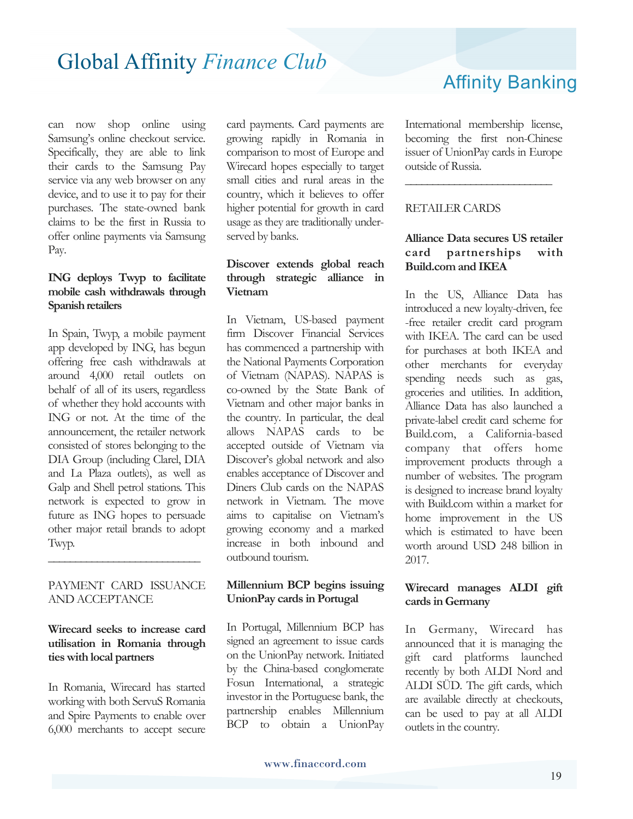can now shop online using Samsung's online checkout service. Specifically, they are able to link their cards to the Samsung Pay service via any web browser on any device, and to use it to pay for their purchases. The state-owned bank claims to be the first in Russia to offer online payments via Samsung Pay.

#### **ING deploys Twyp to facilitate mobile cash withdrawals through Spanish retailers**

In Spain, Twyp, a mobile payment app developed by ING, has begun offering free cash withdrawals at around 4,000 retail outlets on behalf of all of its users, regardless of whether they hold accounts with ING or not. At the time of the announcement, the retailer network consisted of stores belonging to the DIA Group (including Clarel, DIA and La Plaza outlets), as well as Galp and Shell petrol stations. This network is expected to grow in future as ING hopes to persuade other major retail brands to adopt Twyp.

#### PAYMENT CARD ISSUANCE AND ACCEPTANCE

**\_\_\_\_\_\_\_\_\_\_\_\_\_\_\_\_\_\_\_\_\_\_\_\_\_\_\_\_** 

#### **Wirecard seeks to increase card utilisation in Romania through ties with local partners**

In Romania, Wirecard has started working with both ServuS Romania and Spire Payments to enable over 6,000 merchants to accept secure

card payments. Card payments are growing rapidly in Romania in comparison to most of Europe and Wirecard hopes especially to target small cities and rural areas in the country, which it believes to offer higher potential for growth in card usage as they are traditionally underserved by banks.

#### **Discover extends global reach through strategic alliance in Vietnam**

In Vietnam, US-based payment firm Discover Financial Services has commenced a partnership with the National Payments Corporation of Vietnam (NAPAS). NAPAS is co-owned by the State Bank of Vietnam and other major banks in the country. In particular, the deal allows NAPAS cards to be accepted outside of Vietnam via Discover's global network and also enables acceptance of Discover and Diners Club cards on the NAPAS network in Vietnam. The move aims to capitalise on Vietnam's growing economy and a marked increase in both inbound and outbound tourism.

#### **Millennium BCP begins issuing UnionPay cards in Portugal**

In Portugal, Millennium BCP has signed an agreement to issue cards on the UnionPay network. Initiated by the China-based conglomerate Fosun International, a strategic investor in the Portuguese bank, the partnership enables Millennium BCP to obtain a UnionPay Affinity Banking

International membership license, becoming the first non-Chinese issuer of UnionPay cards in Europe outside of Russia.

**\_\_\_\_\_\_\_\_\_\_\_\_\_\_\_\_\_\_\_\_\_\_\_\_\_\_\_** 

#### RETAILER CARDS

#### **Alliance Data secures US retailer card partnerships with Build.com and IKEA**

In the US, Alliance Data has introduced a new loyalty-driven, fee -free retailer credit card program with IKEA. The card can be used for purchases at both IKEA and other merchants for everyday spending needs such as gas, groceries and utilities. In addition, Alliance Data has also launched a private-label credit card scheme for Build.com, a California-based company that offers home improvement products through a number of websites. The program is designed to increase brand loyalty with Build.com within a market for home improvement in the US which is estimated to have been worth around USD 248 billion in 2017.

#### **Wirecard manages ALDI gift cards in Germany**

In Germany, Wirecard has announced that it is managing the gift card platforms launched recently by both ALDI Nord and ALDI SÜD. The gift cards, which are available directly at checkouts, can be used to pay at all ALDI outlets in the country.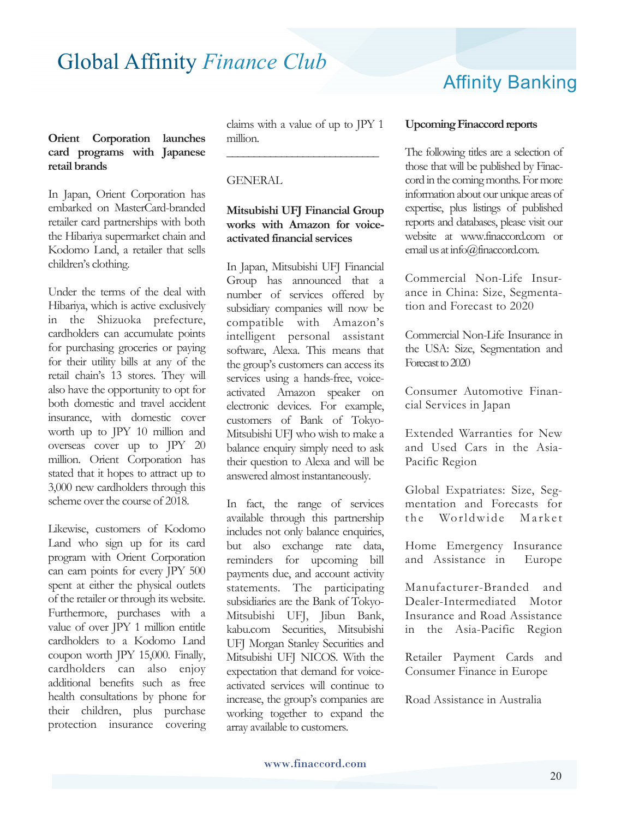#### **Orient Corporation launches card programs with Japanese retail brands**

In Japan, Orient Corporation has embarked on MasterCard-branded retailer card partnerships with both the Hibariya supermarket chain and Kodomo Land, a retailer that sells children's clothing.

Under the terms of the deal with Hibariya, which is active exclusively in the Shizuoka prefecture, cardholders can accumulate points for purchasing groceries or paying for their utility bills at any of the retail chain's 13 stores. They will also have the opportunity to opt for both domestic and travel accident insurance, with domestic cover worth up to JPY 10 million and overseas cover up to JPY 20 million. Orient Corporation has stated that it hopes to attract up to 3,000 new cardholders through this scheme over the course of 2018.

Likewise, customers of Kodomo Land who sign up for its card program with Orient Corporation can earn points for every JPY 500 spent at either the physical outlets of the retailer or through its website. Furthermore, purchases with a value of over JPY 1 million entitle cardholders to a Kodomo Land coupon worth JPY 15,000. Finally, cardholders can also enjoy additional benefits such as free health consultations by phone for their children, plus purchase protection insurance covering

claims with a value of up to JPY 1 million.

**\_\_\_\_\_\_\_\_\_\_\_\_\_\_\_\_\_\_\_\_\_\_\_\_\_\_\_\_**

#### **GENERAL**

#### **Mitsubishi UFJ Financial Group works with Amazon for voiceactivated financial services**

In Japan, Mitsubishi UFJ Financial Group has announced that a number of services offered by subsidiary companies will now be compatible with Amazon's intelligent personal assistant software, Alexa. This means that the group's customers can access its services using a hands-free, voiceactivated Amazon speaker on electronic devices. For example, customers of Bank of Tokyo-Mitsubishi UFJ who wish to make a balance enquiry simply need to ask their question to Alexa and will be answered almost instantaneously.

In fact, the range of services available through this partnership includes not only balance enquiries, but also exchange rate data, reminders for upcoming bill payments due, and account activity statements. The participating subsidiaries are the Bank of Tokyo-Mitsubishi UFJ, Jibun Bank, kabu.com Securities, Mitsubishi UFJ Morgan Stanley Securities and Mitsubishi UFJ NICOS. With the expectation that demand for voiceactivated services will continue to increase, the group's companies are working together to expand the array available to customers.

## Affinity Banking

#### **Upcoming Finaccord reports**

The following titles are a selection of those that will be published by Finaccord in the coming months. For more information about our unique areas of expertise, plus listings of published reports and databases, please visit our website at www.finaccord.com or email us at info@finaccord.com.

Commercial Non-Life Insurance in China: Size, Segmentation and Forecast to 2020

Commercial Non-Life Insurance in the USA: Size, Segmentation and Forecast to 2020

Consumer Automotive Financial Services in Japan

Extended Warranties for New and Used Cars in the Asia-Pacific Region

Global Expatriates: Size, Segmentation and Forecasts for the Worldwide Market

Home Emergency Insurance and Assistance in Europe

Manufacturer-Branded and Dealer-Intermediated Motor Insurance and Road Assistance in the Asia-Pacific Region

Retailer Payment Cards and Consumer Finance in Europe

Road Assistance in Australia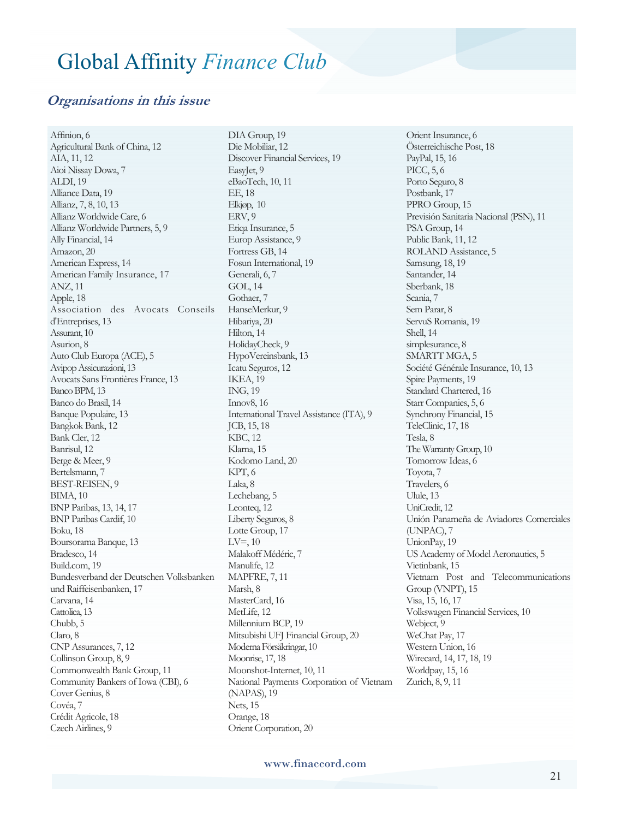#### **Organisations in this issue**

Affinion, 6 Agricultural Bank of China, 12 AIA, 11, 12 Aioi Nissay Dowa, 7 ALDI, 19 Alliance Data, 19 Allianz, 7, 8, 10, 13 Allianz Worldwide Care, 6 Allianz Worldwide Partners, 5, 9 Ally Financial, 14 Amazon, 20 American Express, 14 American Family Insurance, 17 ANZ, 11 Apple, 18 Association des Avocats Conseils d'Entreprises, 13 Assurant, 10 Asurion, 8 Auto Club Europa (ACE), 5 Avipop Assicurazioni, 13 Avocats Sans Frontières France, 13 Banco BPM, 13 Banco do Brasil, 14 Banque Populaire, 13 Bangkok Bank, 12 Bank Cler, 12 Banrisul, 12 Berge & Meer, 9 Bertelsmann, 7 BEST-REISEN, 9 BIMA, 10 BNP Paribas, 13, 14, 17 BNP Paribas Cardif, 10 Boku, 18 Boursorama Banque, 13 Bradesco, 14 Build.com, 19 Bundesverband der Deutschen Volksbanken und Raiffeisenbanken, 17 Carvana, 14 Cattolica, 13 Chubb, 5 Claro, 8 CNP Assurances, 7, 12 Collinson Group, 8, 9 Commonwealth Bank Group, 11 Community Bankers of Iowa (CBI), 6 Cover Genius, 8 Covéa, 7 Crédit Agricole, 18 Czech Airlines, 9

DIA Group, 19 Die Mobiliar, 12 Discover Financial Services, 19 EasyJet, 9 eBaoTech, 10, 11 EE, 18 Elkjøp, 10 ERV, 9 Etiqa Insurance, 5 Europ Assistance, 9 Fortress GB, 14 Fosun International, 19 Generali, 6, 7 GOL, 14 Gothaer, 7 HanseMerkur, 9 Hibariya, 20 Hilton, 14 HolidayCheck, 9 HypoVereinsbank, 13 Icatu Seguros, 12 IKEA, 19 ING, 19 Innov8, 16 International Travel Assistance (ITA), 9 JCB, 15, 18 KBC, 12 Klarna, 15 Kodomo Land, 20 KPT, 6 Laka, 8 Lechebang, 5 Leonteq, 12 Liberty Seguros, 8 Lotte Group, 17  $LV=$ , 10 Malakoff Médéric, 7 Manulife, 12 MAPFRE, 7, 11 Marsh, 8 MasterCard, 16 MetLife, 12 Millennium BCP, 19 Mitsubishi UFJ Financial Group, 20 Moderna Försäkringar, 10 Moonrise, 17, 18 Moonshot-Internet, 10, 11 National Payments Corporation of Vietnam (NAPAS), 19 Nets, 15 Orange, 18 Orient Corporation, 20

Orient Insurance, 6 Österreichische Post, 18 PayPal, 15, 16 PICC, 5, 6 Porto Seguro, 8 Postbank, 17 PPRO Group, 15 Previsión Sanitaria Nacional (PSN), 11 PSA Group, 14 Public Bank, 11, 12 ROLAND Assistance, 5 Samsung, 18, 19 Santander, 14 Sberbank, 18 Scania, 7 Sem Parar, 8 ServuS Romania, 19 Shell, 14 simplesurance, 8 SMARTT MGA, 5 Société Générale Insurance, 10, 13 Spire Payments, 19 Standard Chartered, 16 Starr Companies, 5, 6 Synchrony Financial, 15 TeleClinic, 17, 18 Tesla, 8 The Warranty Group, 10 Tomorrow Ideas, 6 Toyota, 7 Travelers, 6 Ulule, 13 UniCredit, 12 Unión Panameña de Aviadores Comerciales (UNPAC), 7 UnionPay, 19 US Academy of Model Aeronautics, 5 Vietinbank, 15 Vietnam Post and Telecommunications Group (VNPT), 15 Visa, 15, 16, 17 Volkswagen Financial Services, 10 Webject, 9 WeChat Pay, 17 Western Union, 16 Wirecard, 14, 17, 18, 19 Worldpay, 15, 16 Zurich, 8, 9, 11

www.finaccord.com